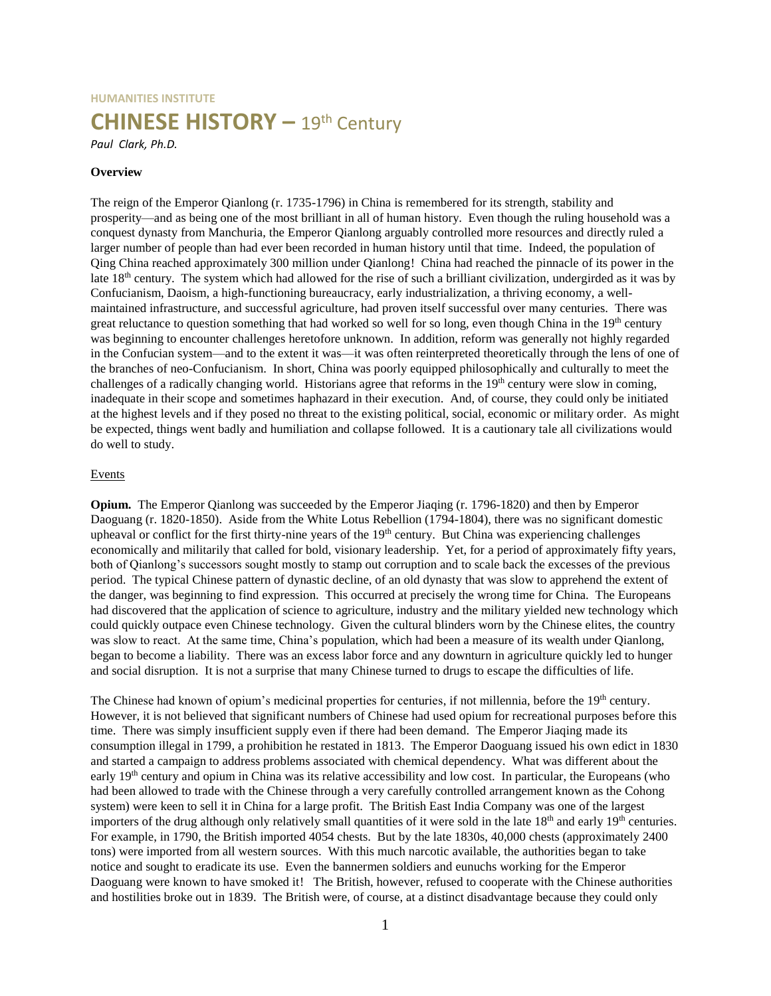# **HUMANITIES INSTITUTE CHINESE HISTORY –** 19th Century

*Paul Clark, Ph.D.*

### **Overview**

The reign of the Emperor Qianlong (r. 1735-1796) in China is remembered for its strength, stability and prosperity—and as being one of the most brilliant in all of human history. Even though the ruling household was a conquest dynasty from Manchuria, the Emperor Qianlong arguably controlled more resources and directly ruled a larger number of people than had ever been recorded in human history until that time. Indeed, the population of Qing China reached approximately 300 million under Qianlong! China had reached the pinnacle of its power in the late  $18<sup>th</sup>$  century. The system which had allowed for the rise of such a brilliant civilization, undergirded as it was by Confucianism, Daoism, a high-functioning bureaucracy, early industrialization, a thriving economy, a wellmaintained infrastructure, and successful agriculture, had proven itself successful over many centuries. There was great reluctance to question something that had worked so well for so long, even though China in the 19<sup>th</sup> century was beginning to encounter challenges heretofore unknown. In addition, reform was generally not highly regarded in the Confucian system—and to the extent it was—it was often reinterpreted theoretically through the lens of one of the branches of neo-Confucianism. In short, China was poorly equipped philosophically and culturally to meet the challenges of a radically changing world. Historians agree that reforms in the  $19<sup>th</sup>$  century were slow in coming, inadequate in their scope and sometimes haphazard in their execution. And, of course, they could only be initiated at the highest levels and if they posed no threat to the existing political, social, economic or military order. As might be expected, things went badly and humiliation and collapse followed. It is a cautionary tale all civilizations would do well to study.

#### Events

**Opium.** The Emperor Qianlong was succeeded by the Emperor Jiaqing (r. 1796-1820) and then by Emperor Daoguang (r. 1820-1850). Aside from the White Lotus Rebellion (1794-1804), there was no significant domestic upheaval or conflict for the first thirty-nine years of the  $19<sup>th</sup>$  century. But China was experiencing challenges economically and militarily that called for bold, visionary leadership. Yet, for a period of approximately fifty years, both of Qianlong's successors sought mostly to stamp out corruption and to scale back the excesses of the previous period. The typical Chinese pattern of dynastic decline, of an old dynasty that was slow to apprehend the extent of the danger, was beginning to find expression. This occurred at precisely the wrong time for China. The Europeans had discovered that the application of science to agriculture, industry and the military yielded new technology which could quickly outpace even Chinese technology. Given the cultural blinders worn by the Chinese elites, the country was slow to react. At the same time, China's population, which had been a measure of its wealth under Qianlong, began to become a liability. There was an excess labor force and any downturn in agriculture quickly led to hunger and social disruption. It is not a surprise that many Chinese turned to drugs to escape the difficulties of life.

The Chinese had known of opium's medicinal properties for centuries, if not millennia, before the 19<sup>th</sup> century. However, it is not believed that significant numbers of Chinese had used opium for recreational purposes before this time. There was simply insufficient supply even if there had been demand. The Emperor Jiaqing made its consumption illegal in 1799, a prohibition he restated in 1813. The Emperor Daoguang issued his own edict in 1830 and started a campaign to address problems associated with chemical dependency. What was different about the early 19<sup>th</sup> century and opium in China was its relative accessibility and low cost. In particular, the Europeans (who had been allowed to trade with the Chinese through a very carefully controlled arrangement known as the Cohong system) were keen to sell it in China for a large profit. The British East India Company was one of the largest importers of the drug although only relatively small quantities of it were sold in the late  $18<sup>th</sup>$  and early  $19<sup>th</sup>$  centuries. For example, in 1790, the British imported 4054 chests. But by the late 1830s, 40,000 chests (approximately 2400 tons) were imported from all western sources. With this much narcotic available, the authorities began to take notice and sought to eradicate its use. Even the bannermen soldiers and eunuchs working for the Emperor Daoguang were known to have smoked it! The British, however, refused to cooperate with the Chinese authorities and hostilities broke out in 1839. The British were, of course, at a distinct disadvantage because they could only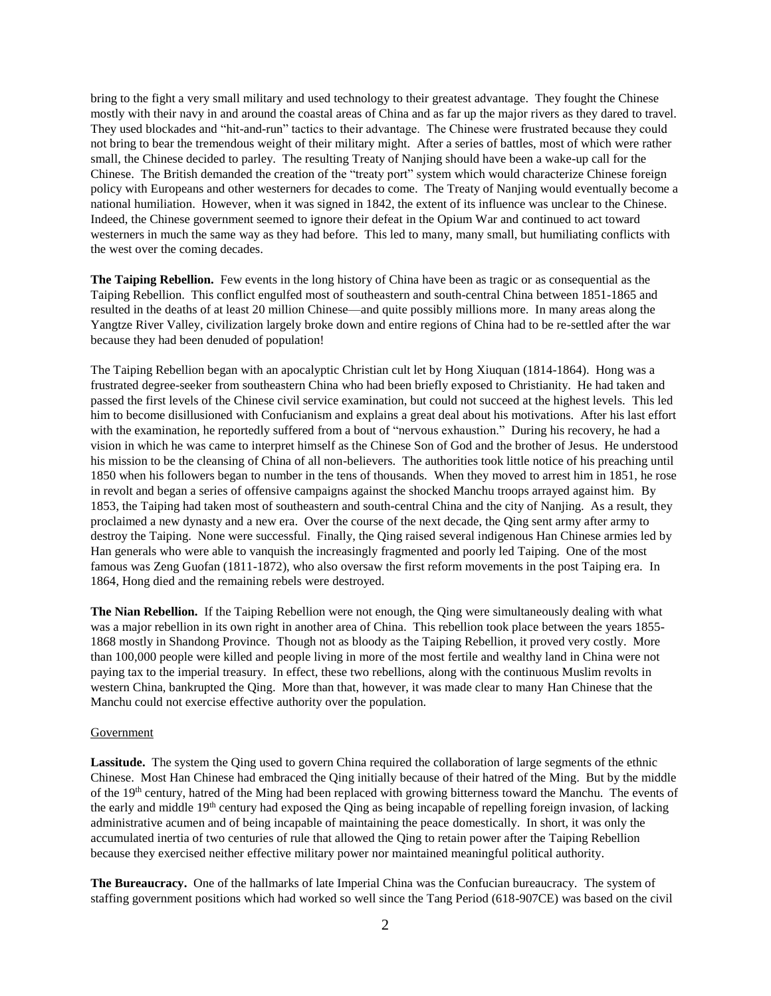bring to the fight a very small military and used technology to their greatest advantage. They fought the Chinese mostly with their navy in and around the coastal areas of China and as far up the major rivers as they dared to travel. They used blockades and "hit-and-run" tactics to their advantage. The Chinese were frustrated because they could not bring to bear the tremendous weight of their military might. After a series of battles, most of which were rather small, the Chinese decided to parley. The resulting Treaty of Nanjing should have been a wake-up call for the Chinese. The British demanded the creation of the "treaty port" system which would characterize Chinese foreign policy with Europeans and other westerners for decades to come. The Treaty of Nanjing would eventually become a national humiliation. However, when it was signed in 1842, the extent of its influence was unclear to the Chinese. Indeed, the Chinese government seemed to ignore their defeat in the Opium War and continued to act toward westerners in much the same way as they had before. This led to many, many small, but humiliating conflicts with the west over the coming decades.

**The Taiping Rebellion.** Few events in the long history of China have been as tragic or as consequential as the Taiping Rebellion. This conflict engulfed most of southeastern and south-central China between 1851-1865 and resulted in the deaths of at least 20 million Chinese—and quite possibly millions more. In many areas along the Yangtze River Valley, civilization largely broke down and entire regions of China had to be re-settled after the war because they had been denuded of population!

The Taiping Rebellion began with an apocalyptic Christian cult let by Hong Xiuquan (1814-1864). Hong was a frustrated degree-seeker from southeastern China who had been briefly exposed to Christianity. He had taken and passed the first levels of the Chinese civil service examination, but could not succeed at the highest levels. This led him to become disillusioned with Confucianism and explains a great deal about his motivations. After his last effort with the examination, he reportedly suffered from a bout of "nervous exhaustion." During his recovery, he had a vision in which he was came to interpret himself as the Chinese Son of God and the brother of Jesus. He understood his mission to be the cleansing of China of all non-believers. The authorities took little notice of his preaching until 1850 when his followers began to number in the tens of thousands. When they moved to arrest him in 1851, he rose in revolt and began a series of offensive campaigns against the shocked Manchu troops arrayed against him. By 1853, the Taiping had taken most of southeastern and south-central China and the city of Nanjing. As a result, they proclaimed a new dynasty and a new era. Over the course of the next decade, the Qing sent army after army to destroy the Taiping. None were successful. Finally, the Qing raised several indigenous Han Chinese armies led by Han generals who were able to vanquish the increasingly fragmented and poorly led Taiping. One of the most famous was Zeng Guofan (1811-1872), who also oversaw the first reform movements in the post Taiping era. In 1864, Hong died and the remaining rebels were destroyed.

**The Nian Rebellion.** If the Taiping Rebellion were not enough, the Qing were simultaneously dealing with what was a major rebellion in its own right in another area of China. This rebellion took place between the years 1855- 1868 mostly in Shandong Province. Though not as bloody as the Taiping Rebellion, it proved very costly. More than 100,000 people were killed and people living in more of the most fertile and wealthy land in China were not paying tax to the imperial treasury. In effect, these two rebellions, along with the continuous Muslim revolts in western China, bankrupted the Qing. More than that, however, it was made clear to many Han Chinese that the Manchu could not exercise effective authority over the population.

#### Government

Lassitude. The system the Qing used to govern China required the collaboration of large segments of the ethnic Chinese. Most Han Chinese had embraced the Qing initially because of their hatred of the Ming. But by the middle of the 19th century, hatred of the Ming had been replaced with growing bitterness toward the Manchu. The events of the early and middle 19<sup>th</sup> century had exposed the Qing as being incapable of repelling foreign invasion, of lacking administrative acumen and of being incapable of maintaining the peace domestically. In short, it was only the accumulated inertia of two centuries of rule that allowed the Qing to retain power after the Taiping Rebellion because they exercised neither effective military power nor maintained meaningful political authority.

**The Bureaucracy.** One of the hallmarks of late Imperial China was the Confucian bureaucracy. The system of staffing government positions which had worked so well since the Tang Period (618-907CE) was based on the civil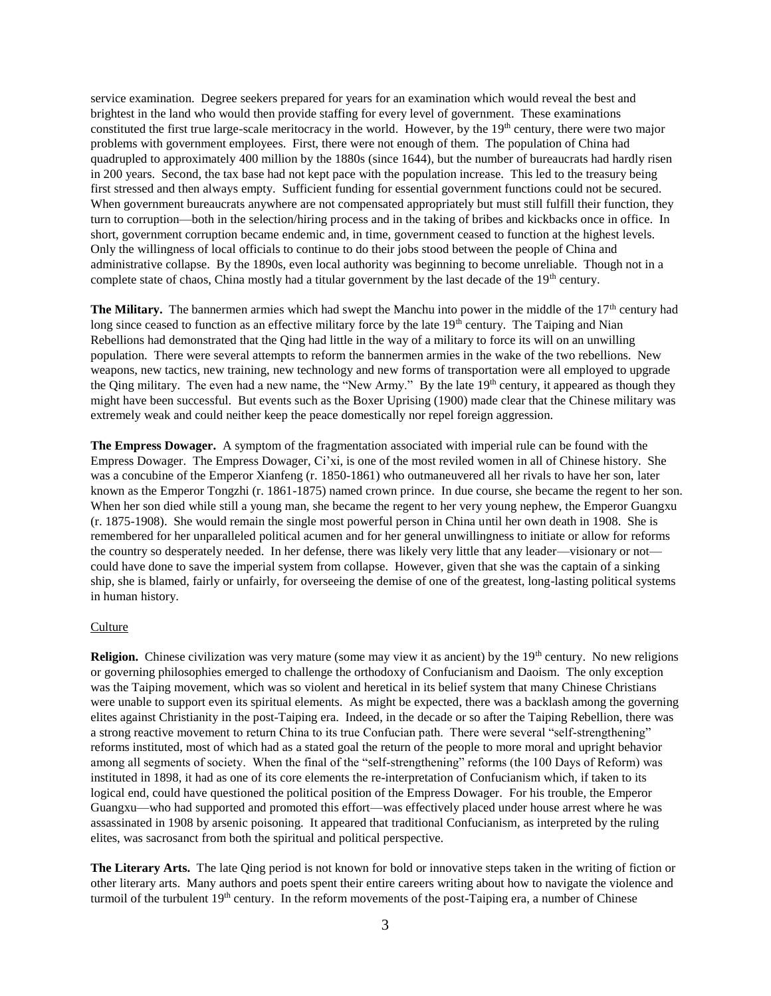service examination. Degree seekers prepared for years for an examination which would reveal the best and brightest in the land who would then provide staffing for every level of government. These examinations constituted the first true large-scale meritocracy in the world. However, by the  $19<sup>th</sup>$  century, there were two major problems with government employees. First, there were not enough of them. The population of China had quadrupled to approximately 400 million by the 1880s (since 1644), but the number of bureaucrats had hardly risen in 200 years. Second, the tax base had not kept pace with the population increase. This led to the treasury being first stressed and then always empty. Sufficient funding for essential government functions could not be secured. When government bureaucrats anywhere are not compensated appropriately but must still fulfill their function, they turn to corruption—both in the selection/hiring process and in the taking of bribes and kickbacks once in office. In short, government corruption became endemic and, in time, government ceased to function at the highest levels. Only the willingness of local officials to continue to do their jobs stood between the people of China and administrative collapse. By the 1890s, even local authority was beginning to become unreliable. Though not in a complete state of chaos, China mostly had a titular government by the last decade of the 19<sup>th</sup> century.

**The Military.** The bannermen armies which had swept the Manchu into power in the middle of the 17<sup>th</sup> century had long since ceased to function as an effective military force by the late  $19<sup>th</sup>$  century. The Taiping and Nian Rebellions had demonstrated that the Qing had little in the way of a military to force its will on an unwilling population. There were several attempts to reform the bannermen armies in the wake of the two rebellions. New weapons, new tactics, new training, new technology and new forms of transportation were all employed to upgrade the Qing military. The even had a new name, the "New Army." By the late 19<sup>th</sup> century, it appeared as though they might have been successful. But events such as the Boxer Uprising (1900) made clear that the Chinese military was extremely weak and could neither keep the peace domestically nor repel foreign aggression.

**The Empress Dowager.** A symptom of the fragmentation associated with imperial rule can be found with the Empress Dowager. The Empress Dowager, Ci'xi, is one of the most reviled women in all of Chinese history. She was a concubine of the Emperor Xianfeng (r. 1850-1861) who outmaneuvered all her rivals to have her son, later known as the Emperor Tongzhi (r. 1861-1875) named crown prince. In due course, she became the regent to her son. When her son died while still a young man, she became the regent to her very young nephew, the Emperor Guangxu (r. 1875-1908). She would remain the single most powerful person in China until her own death in 1908. She is remembered for her unparalleled political acumen and for her general unwillingness to initiate or allow for reforms the country so desperately needed. In her defense, there was likely very little that any leader—visionary or not could have done to save the imperial system from collapse. However, given that she was the captain of a sinking ship, she is blamed, fairly or unfairly, for overseeing the demise of one of the greatest, long-lasting political systems in human history.

#### Culture

**Religion.** Chinese civilization was very mature (some may view it as ancient) by the  $19<sup>th</sup>$  century. No new religions or governing philosophies emerged to challenge the orthodoxy of Confucianism and Daoism. The only exception was the Taiping movement, which was so violent and heretical in its belief system that many Chinese Christians were unable to support even its spiritual elements. As might be expected, there was a backlash among the governing elites against Christianity in the post-Taiping era. Indeed, in the decade or so after the Taiping Rebellion, there was a strong reactive movement to return China to its true Confucian path. There were several "self-strengthening" reforms instituted, most of which had as a stated goal the return of the people to more moral and upright behavior among all segments of society. When the final of the "self-strengthening" reforms (the 100 Days of Reform) was instituted in 1898, it had as one of its core elements the re-interpretation of Confucianism which, if taken to its logical end, could have questioned the political position of the Empress Dowager. For his trouble, the Emperor Guangxu—who had supported and promoted this effort—was effectively placed under house arrest where he was assassinated in 1908 by arsenic poisoning. It appeared that traditional Confucianism, as interpreted by the ruling elites, was sacrosanct from both the spiritual and political perspective.

**The Literary Arts.** The late Qing period is not known for bold or innovative steps taken in the writing of fiction or other literary arts. Many authors and poets spent their entire careers writing about how to navigate the violence and turmoil of the turbulent 19<sup>th</sup> century. In the reform movements of the post-Taiping era, a number of Chinese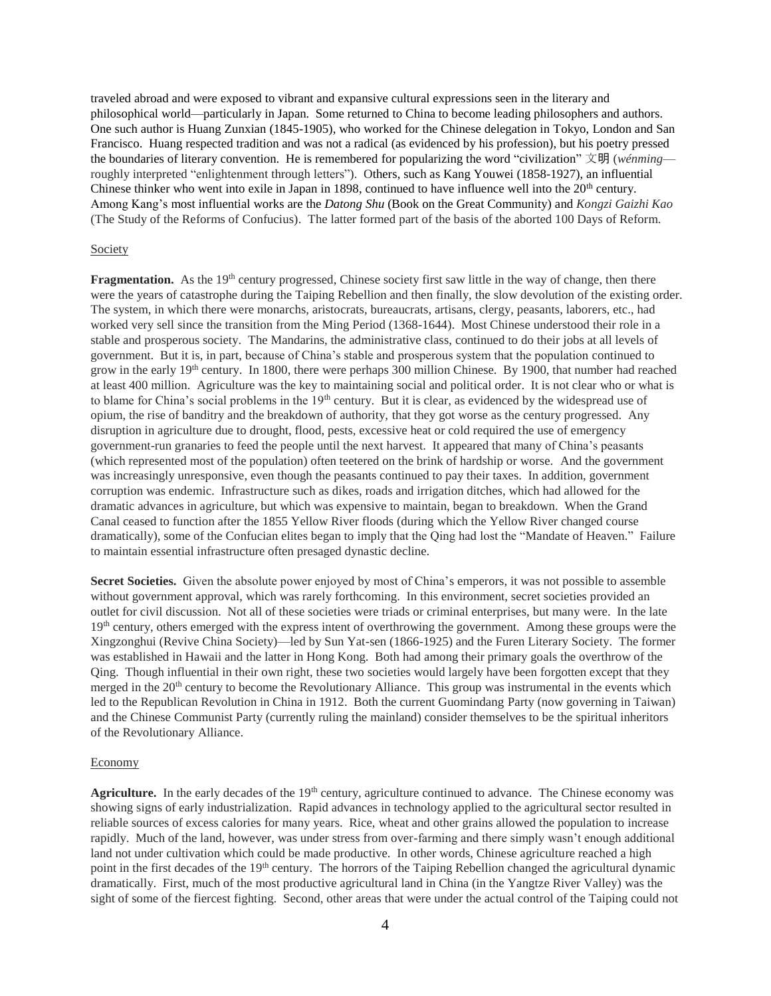traveled abroad and were exposed to vibrant and expansive cultural expressions seen in the literary and philosophical world—particularly in Japan. Some returned to China to become leading philosophers and authors. One such author is Huang Zunxian (1845-1905), who worked for the Chinese delegation in Tokyo, London and San Francisco. Huang respected tradition and was not a radical (as evidenced by his profession), but his poetry pressed the boundaries of literary convention. He is remembered for popularizing the word "civilization" 文明 (*wénming* roughly interpreted "enlightenment through letters"). Others, such as Kang Youwei (1858-1927), an influential Chinese thinker who went into exile in Japan in 1898, continued to have influence well into the  $20<sup>th</sup>$  century. Among Kang's most influential works are the *Datong Shu* (Book on the Great Community) and *Kongzi Gaizhi Kao*  (The Study of the Reforms of Confucius). The latter formed part of the basis of the aborted 100 Days of Reform.

#### **Society**

**Fragmentation.** As the 19<sup>th</sup> century progressed, Chinese society first saw little in the way of change, then there were the years of catastrophe during the Taiping Rebellion and then finally, the slow devolution of the existing order. The system, in which there were monarchs, aristocrats, bureaucrats, artisans, clergy, peasants, laborers, etc., had worked very sell since the transition from the Ming Period (1368-1644). Most Chinese understood their role in a stable and prosperous society. The Mandarins, the administrative class, continued to do their jobs at all levels of government. But it is, in part, because of China's stable and prosperous system that the population continued to grow in the early 19<sup>th</sup> century. In 1800, there were perhaps 300 million Chinese. By 1900, that number had reached at least 400 million. Agriculture was the key to maintaining social and political order. It is not clear who or what is to blame for China's social problems in the 19<sup>th</sup> century. But it is clear, as evidenced by the widespread use of opium, the rise of banditry and the breakdown of authority, that they got worse as the century progressed. Any disruption in agriculture due to drought, flood, pests, excessive heat or cold required the use of emergency government-run granaries to feed the people until the next harvest. It appeared that many of China's peasants (which represented most of the population) often teetered on the brink of hardship or worse. And the government was increasingly unresponsive, even though the peasants continued to pay their taxes. In addition, government corruption was endemic. Infrastructure such as dikes, roads and irrigation ditches, which had allowed for the dramatic advances in agriculture, but which was expensive to maintain, began to breakdown. When the Grand Canal ceased to function after the 1855 Yellow River floods (during which the Yellow River changed course dramatically), some of the Confucian elites began to imply that the Qing had lost the "Mandate of Heaven." Failure to maintain essential infrastructure often presaged dynastic decline.

**Secret Societies.** Given the absolute power enjoyed by most of China's emperors, it was not possible to assemble without government approval, which was rarely forthcoming. In this environment, secret societies provided an outlet for civil discussion. Not all of these societies were triads or criminal enterprises, but many were. In the late 19<sup>th</sup> century, others emerged with the express intent of overthrowing the government. Among these groups were the Xingzonghui (Revive China Society)—led by Sun Yat-sen (1866-1925) and the Furen Literary Society. The former was established in Hawaii and the latter in Hong Kong. Both had among their primary goals the overthrow of the Qing. Though influential in their own right, these two societies would largely have been forgotten except that they merged in the 20<sup>th</sup> century to become the Revolutionary Alliance. This group was instrumental in the events which led to the Republican Revolution in China in 1912. Both the current Guomindang Party (now governing in Taiwan) and the Chinese Communist Party (currently ruling the mainland) consider themselves to be the spiritual inheritors of the Revolutionary Alliance.

#### Economy

**Agriculture.** In the early decades of the 19<sup>th</sup> century, agriculture continued to advance. The Chinese economy was showing signs of early industrialization. Rapid advances in technology applied to the agricultural sector resulted in reliable sources of excess calories for many years. Rice, wheat and other grains allowed the population to increase rapidly. Much of the land, however, was under stress from over-farming and there simply wasn't enough additional land not under cultivation which could be made productive. In other words, Chinese agriculture reached a high point in the first decades of the 19<sup>th</sup> century. The horrors of the Taiping Rebellion changed the agricultural dynamic dramatically. First, much of the most productive agricultural land in China (in the Yangtze River Valley) was the sight of some of the fiercest fighting. Second, other areas that were under the actual control of the Taiping could not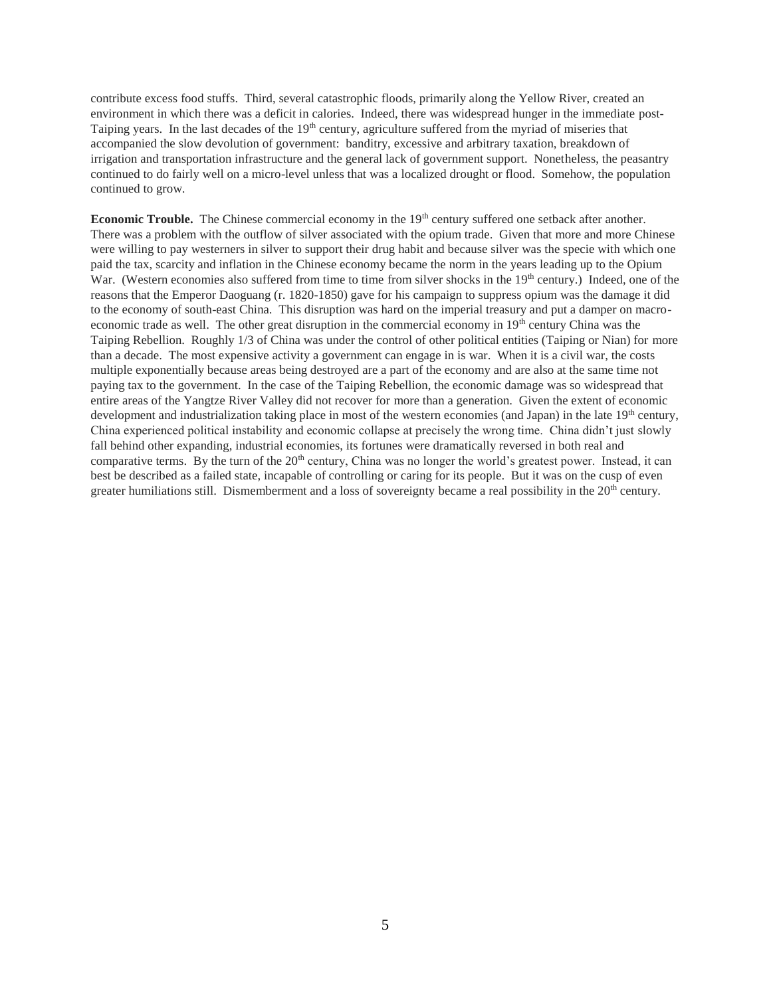contribute excess food stuffs. Third, several catastrophic floods, primarily along the Yellow River, created an environment in which there was a deficit in calories. Indeed, there was widespread hunger in the immediate post-Taiping years. In the last decades of the 19<sup>th</sup> century, agriculture suffered from the myriad of miseries that accompanied the slow devolution of government: banditry, excessive and arbitrary taxation, breakdown of irrigation and transportation infrastructure and the general lack of government support. Nonetheless, the peasantry continued to do fairly well on a micro-level unless that was a localized drought or flood. Somehow, the population continued to grow.

**Economic Trouble.** The Chinese commercial economy in the 19<sup>th</sup> century suffered one setback after another. There was a problem with the outflow of silver associated with the opium trade. Given that more and more Chinese were willing to pay westerners in silver to support their drug habit and because silver was the specie with which one paid the tax, scarcity and inflation in the Chinese economy became the norm in the years leading up to the Opium War. (Western economies also suffered from time to time from silver shocks in the 19<sup>th</sup> century.) Indeed, one of the reasons that the Emperor Daoguang (r. 1820-1850) gave for his campaign to suppress opium was the damage it did to the economy of south-east China. This disruption was hard on the imperial treasury and put a damper on macroeconomic trade as well. The other great disruption in the commercial economy in 19<sup>th</sup> century China was the Taiping Rebellion. Roughly 1/3 of China was under the control of other political entities (Taiping or Nian) for more than a decade. The most expensive activity a government can engage in is war. When it is a civil war, the costs multiple exponentially because areas being destroyed are a part of the economy and are also at the same time not paying tax to the government. In the case of the Taiping Rebellion, the economic damage was so widespread that entire areas of the Yangtze River Valley did not recover for more than a generation. Given the extent of economic development and industrialization taking place in most of the western economies (and Japan) in the late  $19<sup>th</sup>$  century, China experienced political instability and economic collapse at precisely the wrong time. China didn't just slowly fall behind other expanding, industrial economies, its fortunes were dramatically reversed in both real and comparative terms. By the turn of the  $20<sup>th</sup>$  century, China was no longer the world's greatest power. Instead, it can best be described as a failed state, incapable of controlling or caring for its people. But it was on the cusp of even greater humiliations still. Dismemberment and a loss of sovereignty became a real possibility in the  $20<sup>th</sup>$  century.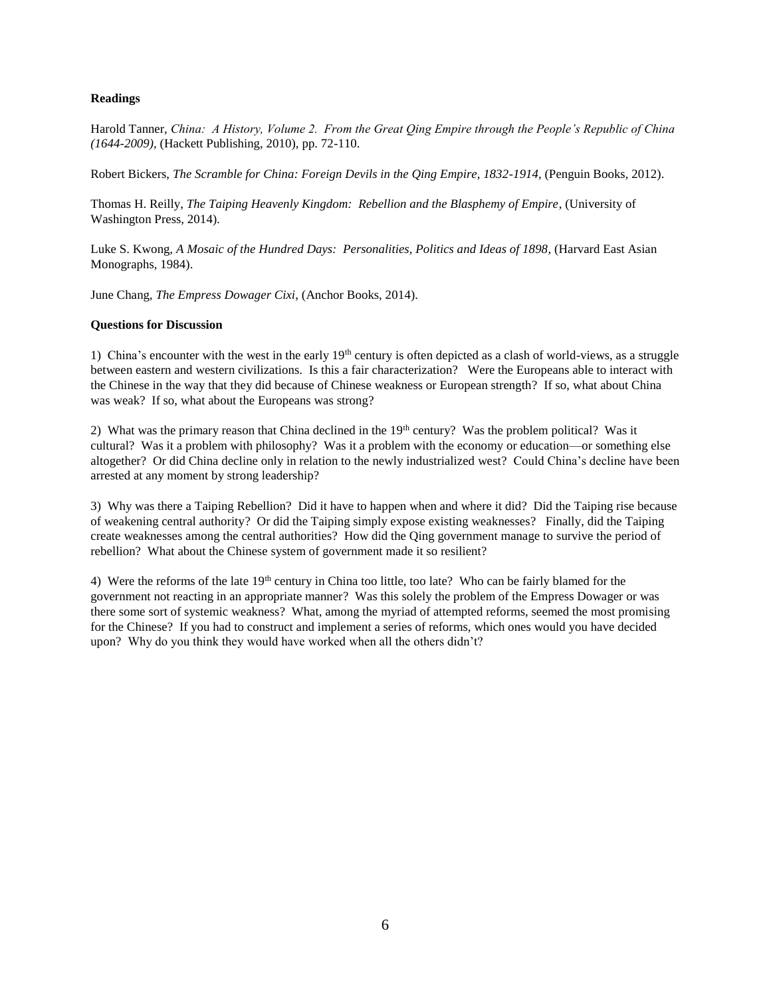# **Readings**

Harold Tanner, *China: A History, Volume 2. From the Great Qing Empire through the People's Republic of China (1644-2009),* (Hackett Publishing, 2010), pp. 72-110.

Robert Bickers, *The Scramble for China: Foreign Devils in the Qing Empire, 1832-1914, (Penguin Books, 2012).* 

Thomas H. Reilly, *The Taiping Heavenly Kingdom: Rebellion and the Blasphemy of Empire*, (University of Washington Press, 2014).

Luke S. Kwong, *A Mosaic of the Hundred Days: Personalities, Politics and Ideas of 1898*, (Harvard East Asian Monographs, 1984).

June Chang, *The Empress Dowager Cixi*, (Anchor Books, 2014).

# **Questions for Discussion**

1) China's encounter with the west in the early  $19<sup>th</sup>$  century is often depicted as a clash of world-views, as a struggle between eastern and western civilizations. Is this a fair characterization? Were the Europeans able to interact with the Chinese in the way that they did because of Chinese weakness or European strength? If so, what about China was weak? If so, what about the Europeans was strong?

2) What was the primary reason that China declined in the  $19<sup>th</sup>$  century? Was the problem political? Was it cultural? Was it a problem with philosophy? Was it a problem with the economy or education—or something else altogether? Or did China decline only in relation to the newly industrialized west? Could China's decline have been arrested at any moment by strong leadership?

3) Why was there a Taiping Rebellion? Did it have to happen when and where it did? Did the Taiping rise because of weakening central authority? Or did the Taiping simply expose existing weaknesses? Finally, did the Taiping create weaknesses among the central authorities? How did the Qing government manage to survive the period of rebellion? What about the Chinese system of government made it so resilient?

4) Were the reforms of the late 19<sup>th</sup> century in China too little, too late? Who can be fairly blamed for the government not reacting in an appropriate manner? Was this solely the problem of the Empress Dowager or was there some sort of systemic weakness? What, among the myriad of attempted reforms, seemed the most promising for the Chinese? If you had to construct and implement a series of reforms, which ones would you have decided upon? Why do you think they would have worked when all the others didn't?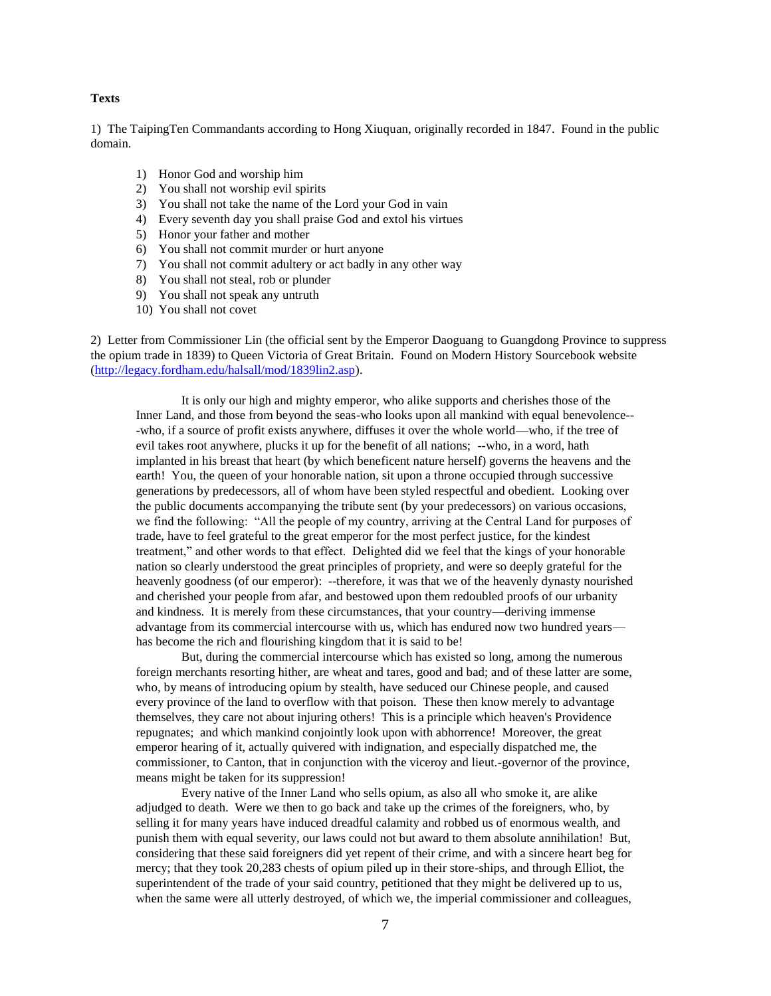#### **Texts**

1) The TaipingTen Commandants according to Hong Xiuquan, originally recorded in 1847. Found in the public domain.

- 1) Honor God and worship him
- 2) You shall not worship evil spirits
- 3) You shall not take the name of the Lord your God in vain
- 4) Every seventh day you shall praise God and extol his virtues
- 5) Honor your father and mother
- 6) You shall not commit murder or hurt anyone
- 7) You shall not commit adultery or act badly in any other way
- 8) You shall not steal, rob or plunder
- 9) You shall not speak any untruth
- 10) You shall not covet

2) Letter from Commissioner Lin (the official sent by the Emperor Daoguang to Guangdong Province to suppress the opium trade in 1839) to Queen Victoria of Great Britain. Found on Modern History Sourcebook website [\(http://legacy.fordham.edu/halsall/mod/1839lin2.asp\)](http://legacy.fordham.edu/halsall/mod/1839lin2.asp).

It is only our high and mighty emperor, who alike supports and cherishes those of the Inner Land, and those from beyond the seas-who looks upon all mankind with equal benevolence-- -who, if a source of profit exists anywhere, diffuses it over the whole world—who, if the tree of evil takes root anywhere, plucks it up for the benefit of all nations; --who, in a word, hath implanted in his breast that heart (by which beneficent nature herself) governs the heavens and the earth! You, the queen of your honorable nation, sit upon a throne occupied through successive generations by predecessors, all of whom have been styled respectful and obedient. Looking over the public documents accompanying the tribute sent (by your predecessors) on various occasions, we find the following: "All the people of my country, arriving at the Central Land for purposes of trade, have to feel grateful to the great emperor for the most perfect justice, for the kindest treatment," and other words to that effect. Delighted did we feel that the kings of your honorable nation so clearly understood the great principles of propriety, and were so deeply grateful for the heavenly goodness (of our emperor): --therefore, it was that we of the heavenly dynasty nourished and cherished your people from afar, and bestowed upon them redoubled proofs of our urbanity and kindness. It is merely from these circumstances, that your country—deriving immense advantage from its commercial intercourse with us, which has endured now two hundred years has become the rich and flourishing kingdom that it is said to be!

But, during the commercial intercourse which has existed so long, among the numerous foreign merchants resorting hither, are wheat and tares, good and bad; and of these latter are some, who, by means of introducing opium by stealth, have seduced our Chinese people, and caused every province of the land to overflow with that poison. These then know merely to advantage themselves, they care not about injuring others! This is a principle which heaven's Providence repugnates; and which mankind conjointly look upon with abhorrence! Moreover, the great emperor hearing of it, actually quivered with indignation, and especially dispatched me, the commissioner, to Canton, that in conjunction with the viceroy and lieut.-governor of the province, means might be taken for its suppression!

Every native of the Inner Land who sells opium, as also all who smoke it, are alike adjudged to death. Were we then to go back and take up the crimes of the foreigners, who, by selling it for many years have induced dreadful calamity and robbed us of enormous wealth, and punish them with equal severity, our laws could not but award to them absolute annihilation! But, considering that these said foreigners did yet repent of their crime, and with a sincere heart beg for mercy; that they took 20,283 chests of opium piled up in their store-ships, and through Elliot, the superintendent of the trade of your said country, petitioned that they might be delivered up to us, when the same were all utterly destroyed, of which we, the imperial commissioner and colleagues,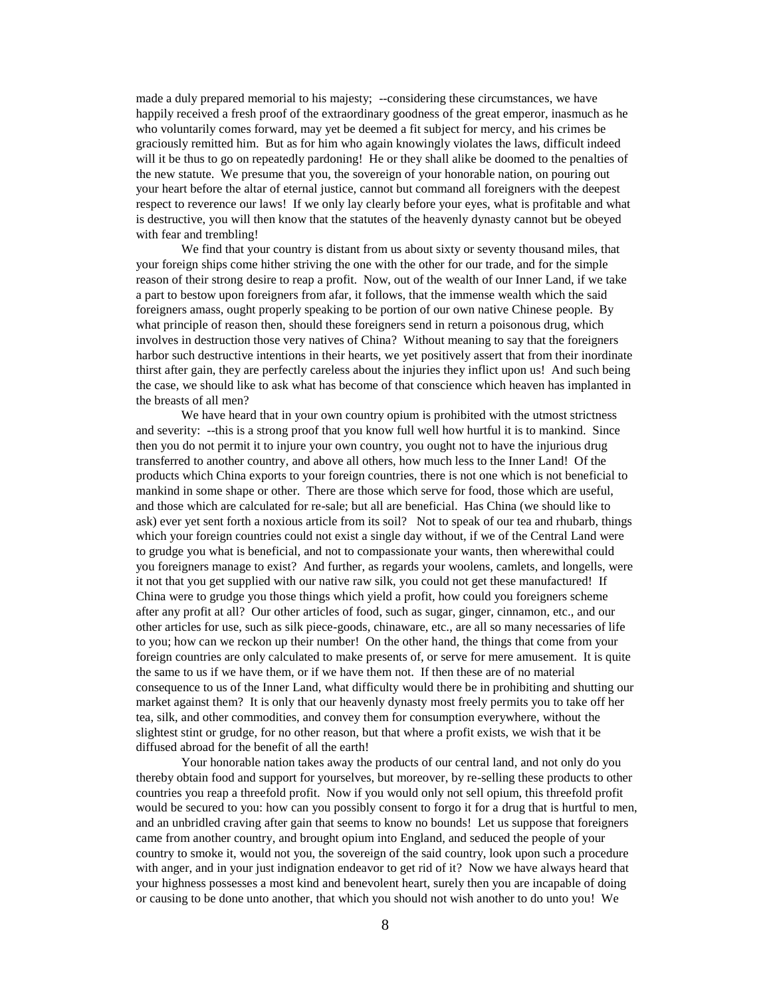made a duly prepared memorial to his majesty; --considering these circumstances, we have happily received a fresh proof of the extraordinary goodness of the great emperor, inasmuch as he who voluntarily comes forward, may yet be deemed a fit subject for mercy, and his crimes be graciously remitted him. But as for him who again knowingly violates the laws, difficult indeed will it be thus to go on repeatedly pardoning! He or they shall alike be doomed to the penalties of the new statute. We presume that you, the sovereign of your honorable nation, on pouring out your heart before the altar of eternal justice, cannot but command all foreigners with the deepest respect to reverence our laws! If we only lay clearly before your eyes, what is profitable and what is destructive, you will then know that the statutes of the heavenly dynasty cannot but be obeyed with fear and trembling!

We find that your country is distant from us about sixty or seventy thousand miles, that your foreign ships come hither striving the one with the other for our trade, and for the simple reason of their strong desire to reap a profit. Now, out of the wealth of our Inner Land, if we take a part to bestow upon foreigners from afar, it follows, that the immense wealth which the said foreigners amass, ought properly speaking to be portion of our own native Chinese people. By what principle of reason then, should these foreigners send in return a poisonous drug, which involves in destruction those very natives of China? Without meaning to say that the foreigners harbor such destructive intentions in their hearts, we yet positively assert that from their inordinate thirst after gain, they are perfectly careless about the injuries they inflict upon us! And such being the case, we should like to ask what has become of that conscience which heaven has implanted in the breasts of all men?

We have heard that in your own country opium is prohibited with the utmost strictness and severity: --this is a strong proof that you know full well how hurtful it is to mankind. Since then you do not permit it to injure your own country, you ought not to have the injurious drug transferred to another country, and above all others, how much less to the Inner Land! Of the products which China exports to your foreign countries, there is not one which is not beneficial to mankind in some shape or other. There are those which serve for food, those which are useful, and those which are calculated for re-sale; but all are beneficial. Has China (we should like to ask) ever yet sent forth a noxious article from its soil? Not to speak of our tea and rhubarb, things which your foreign countries could not exist a single day without, if we of the Central Land were to grudge you what is beneficial, and not to compassionate your wants, then wherewithal could you foreigners manage to exist? And further, as regards your woolens, camlets, and longells, were it not that you get supplied with our native raw silk, you could not get these manufactured! If China were to grudge you those things which yield a profit, how could you foreigners scheme after any profit at all? Our other articles of food, such as sugar, ginger, cinnamon, etc., and our other articles for use, such as silk piece-goods, chinaware, etc., are all so many necessaries of life to you; how can we reckon up their number! On the other hand, the things that come from your foreign countries are only calculated to make presents of, or serve for mere amusement. It is quite the same to us if we have them, or if we have them not. If then these are of no material consequence to us of the Inner Land, what difficulty would there be in prohibiting and shutting our market against them? It is only that our heavenly dynasty most freely permits you to take off her tea, silk, and other commodities, and convey them for consumption everywhere, without the slightest stint or grudge, for no other reason, but that where a profit exists, we wish that it be diffused abroad for the benefit of all the earth!

Your honorable nation takes away the products of our central land, and not only do you thereby obtain food and support for yourselves, but moreover, by re-selling these products to other countries you reap a threefold profit. Now if you would only not sell opium, this threefold profit would be secured to you: how can you possibly consent to forgo it for a drug that is hurtful to men, and an unbridled craving after gain that seems to know no bounds! Let us suppose that foreigners came from another country, and brought opium into England, and seduced the people of your country to smoke it, would not you, the sovereign of the said country, look upon such a procedure with anger, and in your just indignation endeavor to get rid of it? Now we have always heard that your highness possesses a most kind and benevolent heart, surely then you are incapable of doing or causing to be done unto another, that which you should not wish another to do unto you! We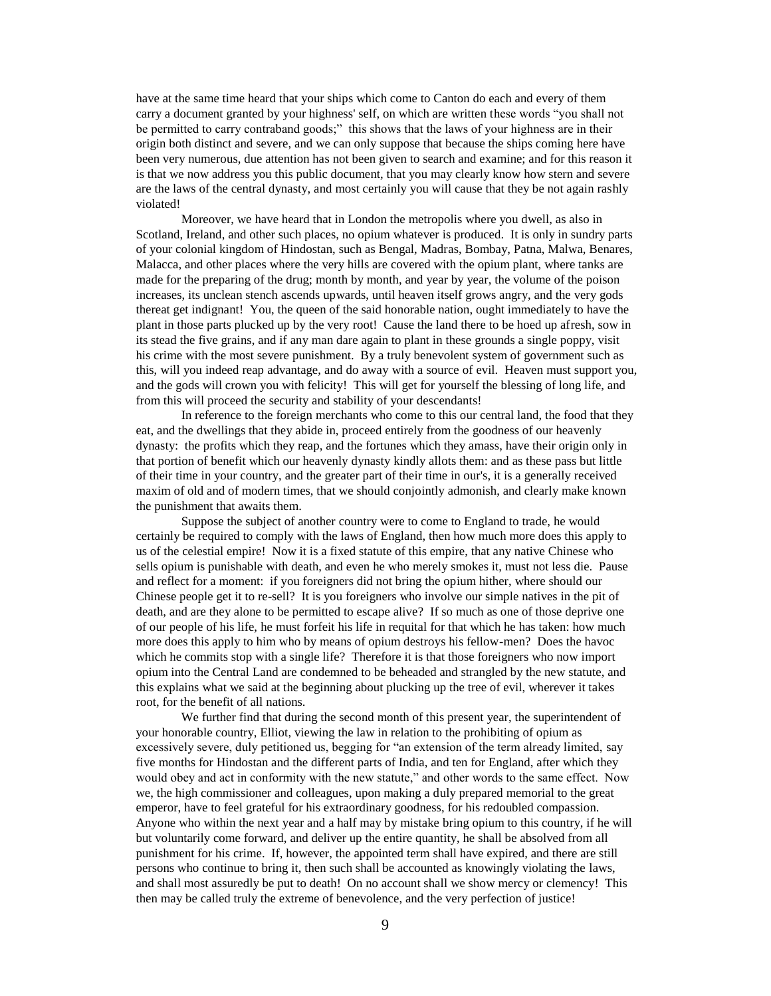have at the same time heard that your ships which come to Canton do each and every of them carry a document granted by your highness' self, on which are written these words "you shall not be permitted to carry contraband goods;" this shows that the laws of your highness are in their origin both distinct and severe, and we can only suppose that because the ships coming here have been very numerous, due attention has not been given to search and examine; and for this reason it is that we now address you this public document, that you may clearly know how stern and severe are the laws of the central dynasty, and most certainly you will cause that they be not again rashly violated!

Moreover, we have heard that in London the metropolis where you dwell, as also in Scotland, Ireland, and other such places, no opium whatever is produced. It is only in sundry parts of your colonial kingdom of Hindostan, such as Bengal, Madras, Bombay, Patna, Malwa, Benares, Malacca, and other places where the very hills are covered with the opium plant, where tanks are made for the preparing of the drug; month by month, and year by year, the volume of the poison increases, its unclean stench ascends upwards, until heaven itself grows angry, and the very gods thereat get indignant! You, the queen of the said honorable nation, ought immediately to have the plant in those parts plucked up by the very root! Cause the land there to be hoed up afresh, sow in its stead the five grains, and if any man dare again to plant in these grounds a single poppy, visit his crime with the most severe punishment. By a truly benevolent system of government such as this, will you indeed reap advantage, and do away with a source of evil. Heaven must support you, and the gods will crown you with felicity! This will get for yourself the blessing of long life, and from this will proceed the security and stability of your descendants!

In reference to the foreign merchants who come to this our central land, the food that they eat, and the dwellings that they abide in, proceed entirely from the goodness of our heavenly dynasty: the profits which they reap, and the fortunes which they amass, have their origin only in that portion of benefit which our heavenly dynasty kindly allots them: and as these pass but little of their time in your country, and the greater part of their time in our's, it is a generally received maxim of old and of modern times, that we should conjointly admonish, and clearly make known the punishment that awaits them.

Suppose the subject of another country were to come to England to trade, he would certainly be required to comply with the laws of England, then how much more does this apply to us of the celestial empire! Now it is a fixed statute of this empire, that any native Chinese who sells opium is punishable with death, and even he who merely smokes it, must not less die. Pause and reflect for a moment: if you foreigners did not bring the opium hither, where should our Chinese people get it to re-sell? It is you foreigners who involve our simple natives in the pit of death, and are they alone to be permitted to escape alive? If so much as one of those deprive one of our people of his life, he must forfeit his life in requital for that which he has taken: how much more does this apply to him who by means of opium destroys his fellow-men? Does the havoc which he commits stop with a single life? Therefore it is that those foreigners who now import opium into the Central Land are condemned to be beheaded and strangled by the new statute, and this explains what we said at the beginning about plucking up the tree of evil, wherever it takes root, for the benefit of all nations.

We further find that during the second month of this present year, the superintendent of your honorable country, Elliot, viewing the law in relation to the prohibiting of opium as excessively severe, duly petitioned us, begging for "an extension of the term already limited, say five months for Hindostan and the different parts of India, and ten for England, after which they would obey and act in conformity with the new statute," and other words to the same effect. Now we, the high commissioner and colleagues, upon making a duly prepared memorial to the great emperor, have to feel grateful for his extraordinary goodness, for his redoubled compassion. Anyone who within the next year and a half may by mistake bring opium to this country, if he will but voluntarily come forward, and deliver up the entire quantity, he shall be absolved from all punishment for his crime. If, however, the appointed term shall have expired, and there are still persons who continue to bring it, then such shall be accounted as knowingly violating the laws, and shall most assuredly be put to death! On no account shall we show mercy or clemency! This then may be called truly the extreme of benevolence, and the very perfection of justice!